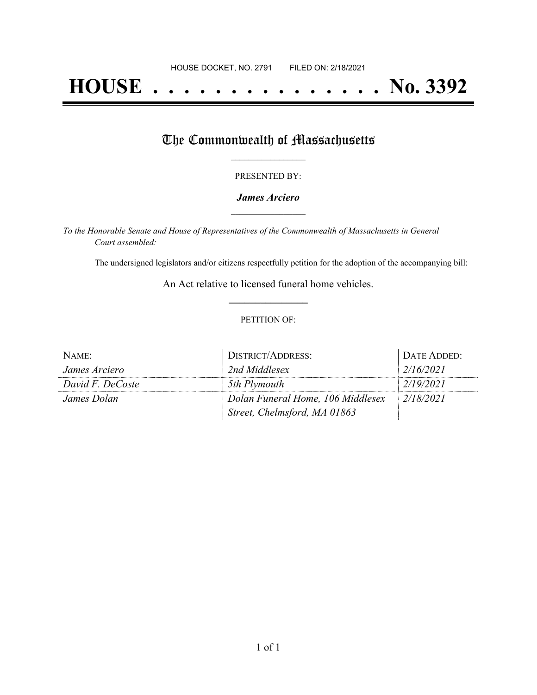# **HOUSE . . . . . . . . . . . . . . . No. 3392**

## The Commonwealth of Massachusetts

#### PRESENTED BY:

#### *James Arciero* **\_\_\_\_\_\_\_\_\_\_\_\_\_\_\_\_\_**

*To the Honorable Senate and House of Representatives of the Commonwealth of Massachusetts in General Court assembled:*

The undersigned legislators and/or citizens respectfully petition for the adoption of the accompanying bill:

An Act relative to licensed funeral home vehicles. **\_\_\_\_\_\_\_\_\_\_\_\_\_\_\_**

#### PETITION OF:

| NAME:            | <b>DISTRICT/ADDRESS:</b>          | DATE ADDED: |
|------------------|-----------------------------------|-------------|
| James Arciero    | 2nd Middlesex                     | 2/16/2021   |
| David F. DeCoste | 5th Plymouth                      | 2/19/2021   |
| James Dolan      | Dolan Funeral Home, 106 Middlesex | 2/18/2021   |
|                  | Street, Chelmsford, MA 01863      |             |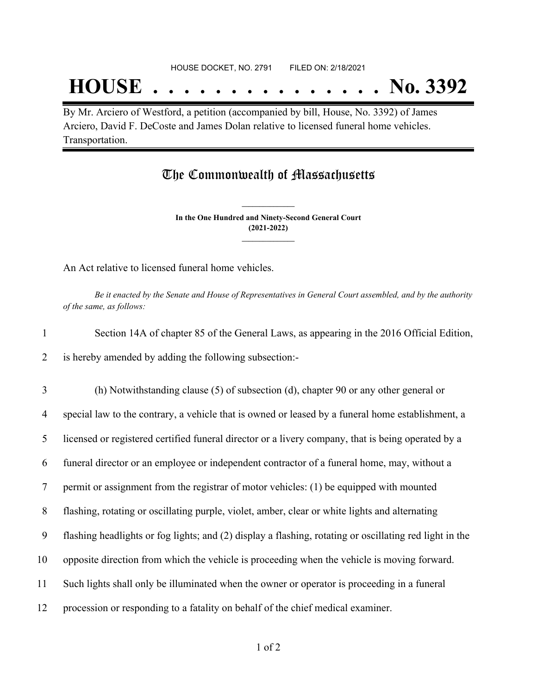## **HOUSE . . . . . . . . . . . . . . . No. 3392**

By Mr. Arciero of Westford, a petition (accompanied by bill, House, No. 3392) of James Arciero, David F. DeCoste and James Dolan relative to licensed funeral home vehicles. Transportation.

### The Commonwealth of Massachusetts

**In the One Hundred and Ninety-Second General Court (2021-2022) \_\_\_\_\_\_\_\_\_\_\_\_\_\_\_**

**\_\_\_\_\_\_\_\_\_\_\_\_\_\_\_**

An Act relative to licensed funeral home vehicles.

Be it enacted by the Senate and House of Representatives in General Court assembled, and by the authority *of the same, as follows:*

| Section 14A of chapter 85 of the General Laws, as appearing in the 2016 Official Edition, |
|-------------------------------------------------------------------------------------------|
| 2 is hereby amended by adding the following subsection:-                                  |

 (h) Notwithstanding clause (5) of subsection (d), chapter 90 or any other general or special law to the contrary, a vehicle that is owned or leased by a funeral home establishment, a licensed or registered certified funeral director or a livery company, that is being operated by a funeral director or an employee or independent contractor of a funeral home, may, without a permit or assignment from the registrar of motor vehicles: (1) be equipped with mounted flashing, rotating or oscillating purple, violet, amber, clear or white lights and alternating flashing headlights or fog lights; and (2) display a flashing, rotating or oscillating red light in the opposite direction from which the vehicle is proceeding when the vehicle is moving forward. Such lights shall only be illuminated when the owner or operator is proceeding in a funeral procession or responding to a fatality on behalf of the chief medical examiner.